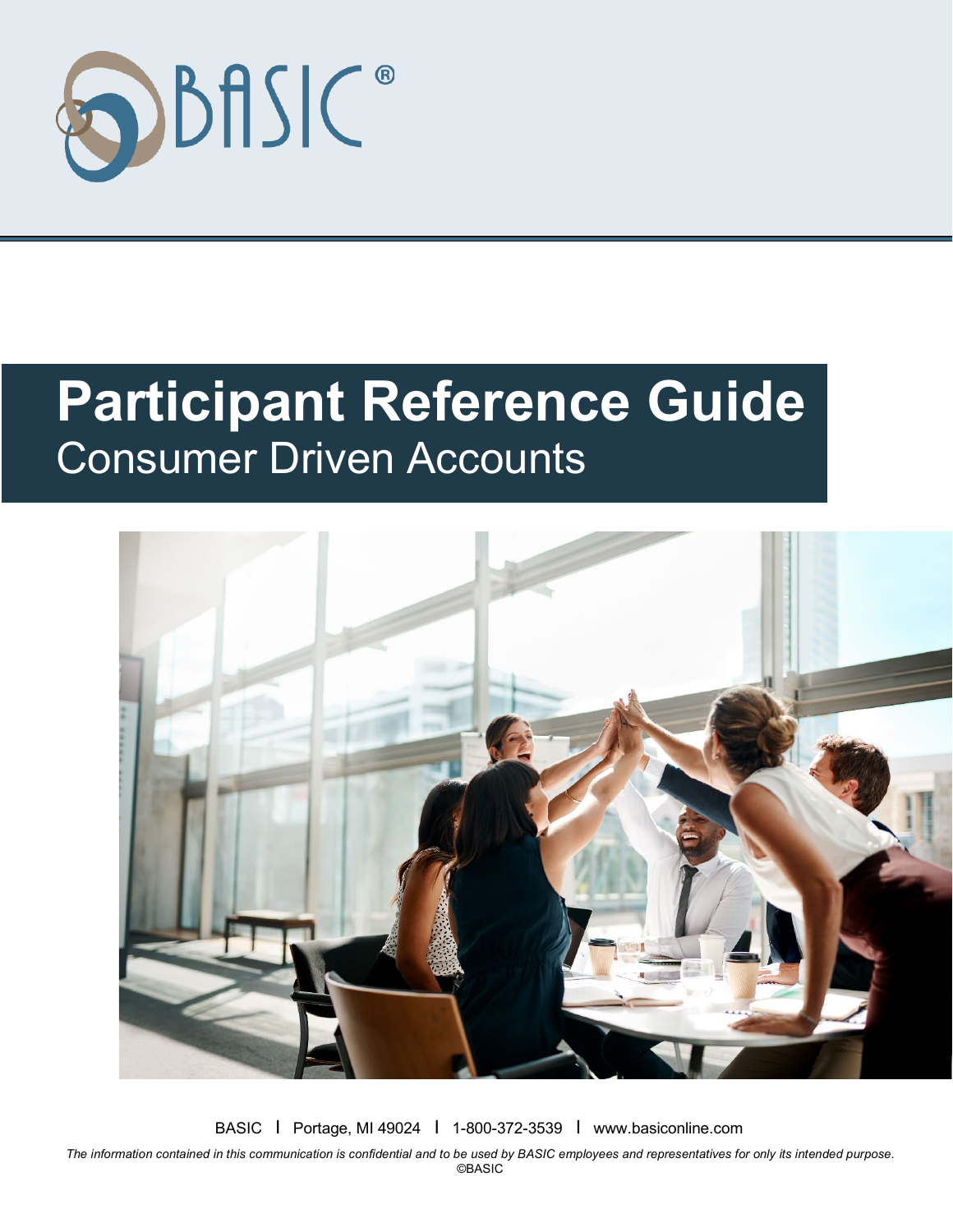

# **Participant Reference Guide** Consumer Driven Accounts



BASIC I Portage, MI 49024 I 1-800-372-3539 I www.basiconline.com

*The information contained in this communication is confidential and to be used by BASIC employees and representatives for only its intended purpose.* **©BASIC**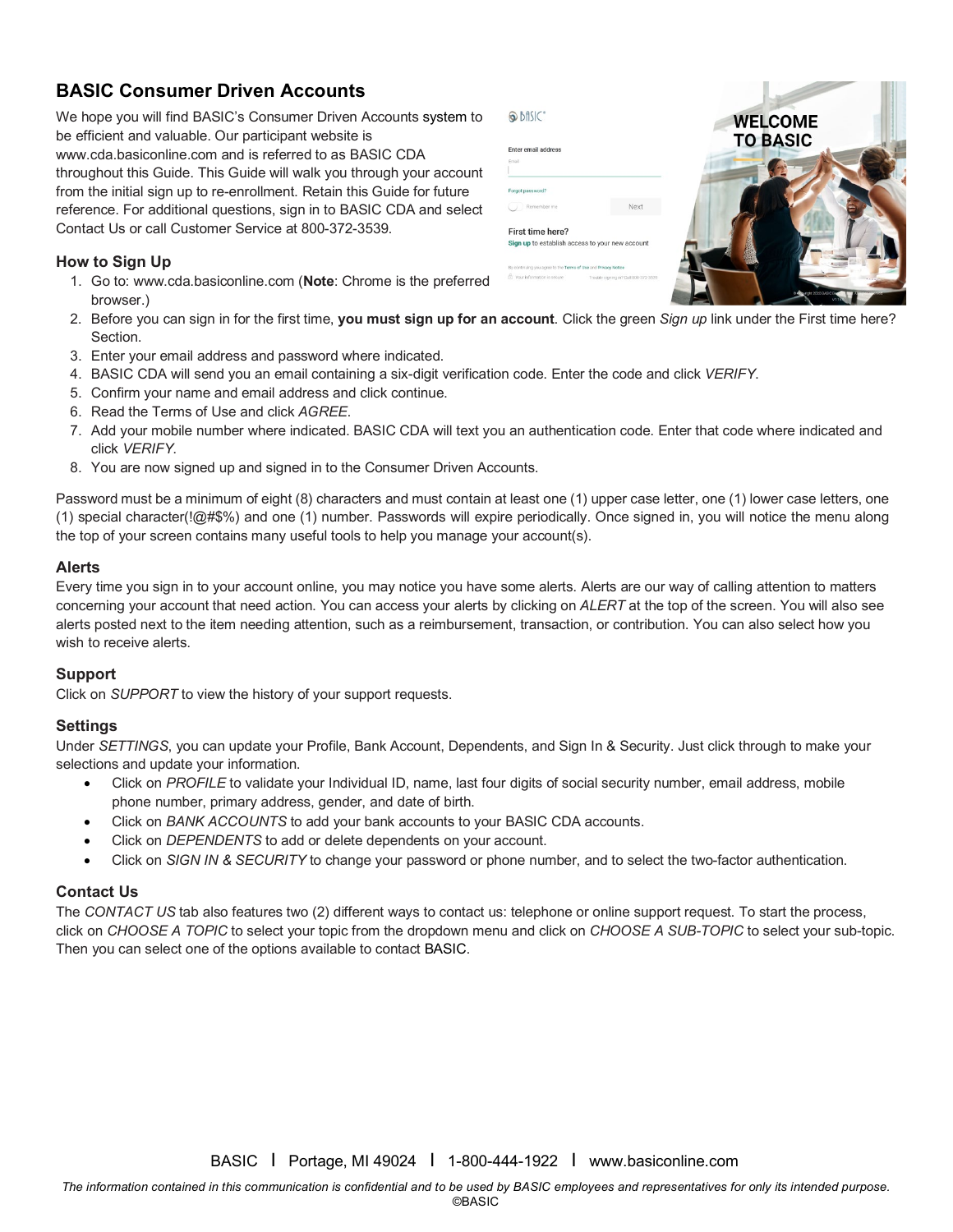# **BASIC Consumer Driven Accounts**

We hope you will find BASIC's Consumer Driven Accounts system to be efficient and valuable. Our participant website is www.cda.basiconline.com and is referred to as BASIC CDA throughout this Guide. This Guide will walk you through your account from the initial sign up to re-enrollment. Retain this Guide for future reference. For additional questions, sign in to BASIC CDA and select Contact Us or call Customer Service at 800-372-3539.

#### **How to Sign Up**

- 1. Go to: www.cda.basiconline.com (**Note**: Chrome is the preferred browser.)
- 2. Before you can sign in for the first time, **you must sign up for an account**. Click the green *Sign up* link under the First time here? Section.
- 3. Enter your email address and password where indicated.
- 4. BASIC CDA will send you an email containing a six-digit verification code. Enter the code and click *VERIFY*.
- 5. Confirm your name and email address and click continue.
- 6. Read the Terms of Use and click *AGREE*.
- 7. Add your mobile number where indicated. BASIC CDA will text you an authentication code. Enter that code where indicated and click *VERIFY*.
- 8. You are now signed up and signed in to the Consumer Driven Accounts.

Password must be a minimum of eight (8) characters and must contain at least one (1) upper case letter, one (1) lower case letters, one (1) special character(!@#\$%) and one (1) number. Passwords will expire periodically. Once signed in, you will notice the menu along the top of your screen contains many useful tools to help you manage your account(s).

#### **Alerts**

Every time you sign in to your account online, you may notice you have some alerts. Alerts are our way of calling attention to matters concerning your account that need action. You can access your alerts by clicking on *ALERT* at the top of the screen. You will also see alerts posted next to the item needing attention, such as a reimbursement, transaction, or contribution. You can also select how you wish to receive alerts.

#### **Support**

Click on *SUPPORT* to view the history of your support requests.

#### **Settings**

Under *SETTINGS*, you can update your Profile, Bank Account, Dependents, and Sign In & Security. Just click through to make your selections and update your information.

- Click on *PROFILE* to validate your Individual ID, name, last four digits of social security number, email address, mobile phone number, primary address, gender, and date of birth.
- Click on *BANK ACCOUNTS* to add your bank accounts to your BASIC CDA accounts.
- Click on *DEPENDENTS* to add or delete dependents on your account.
- Click on *SIGN IN & SECURITY* to change your password or phone number, and to select the two-factor authentication.

#### **Contact Us**

The *CONTACT US* tab also features two (2) different ways to contact us: telephone or online support request. To start the process, click on *CHOOSE A TOPIC* to select your topic from the dropdown menu and click on *CHOOSE A SUB-TOPIC* to select your sub-topic. Then you can select one of the options available to contact BASIC.



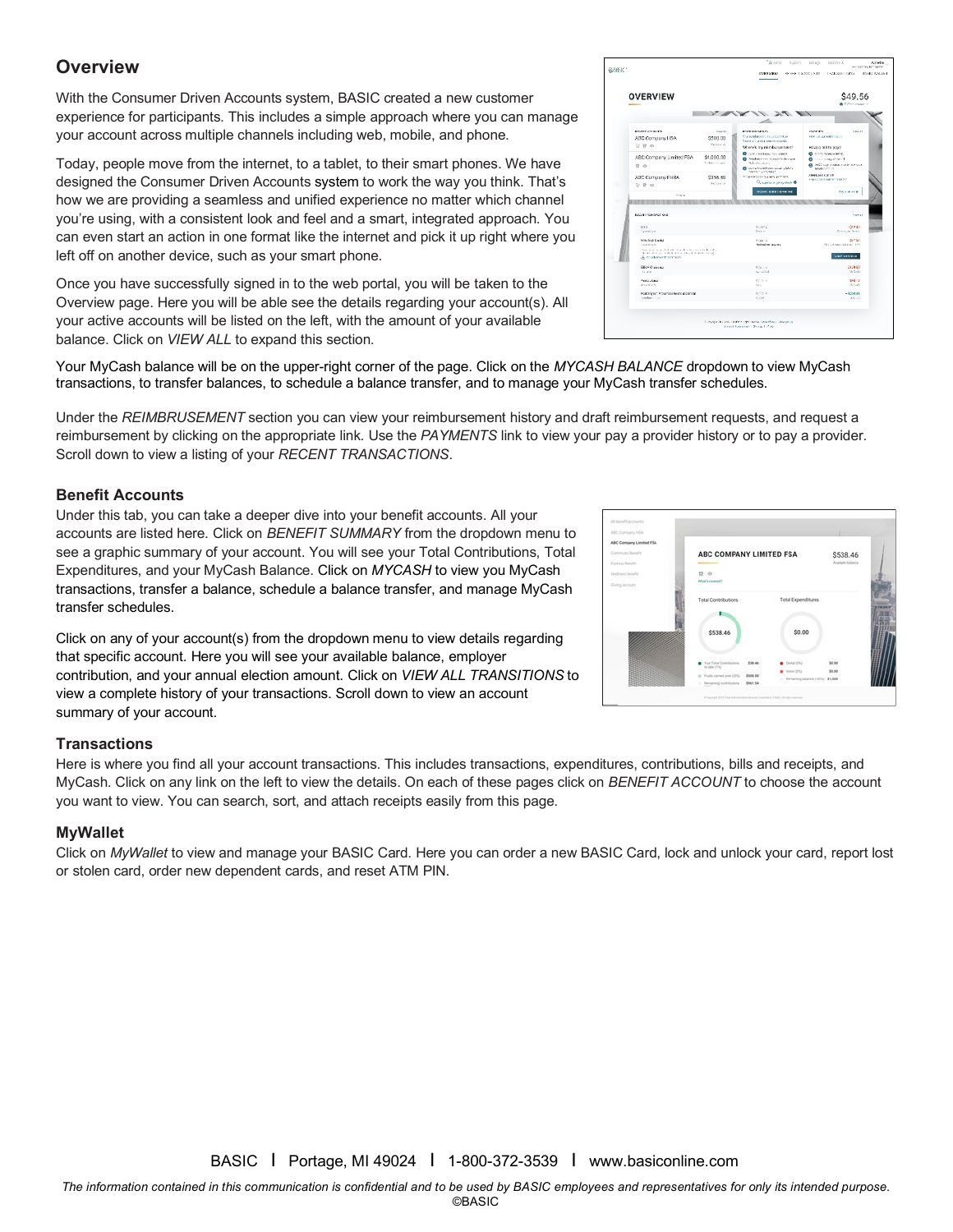# **Overview**

With the Consumer Driven Accounts system, BASIC created a new customer experience for participants. This includes a simple approach where you can manage your account across multiple channels including web, mobile, and phone.

Today, people move from the internet, to a tablet, to their smart phones. We have designed the Consumer Driven Accounts system to work the way you think. That's how we are providing a seamless and unified experience no matter which channel you're using, with a consistent look and feel and a smart, integrated approach. You can even start an action in one format like the internet and pick it up right where you left off on another device, such as your smart phone.

Once you have successfully signed in to the web portal, you will be taken to the Overview page. Here you will be able see the details regarding your account(s). All your active accounts will be listed on the left, with the amount of your available balance. Click on *VIEW ALL* to expand this section.



Your MyCash balance will be on the upper-right corner of the page. Click on the *MYCASH BALANCE* dropdown to view MyCash transactions, to transfer balances, to [schedule a balance transfer,](https://uba.tasconline.com/mycashtransferschedule) and to manage your [MyCash transfer schedules.](https://uba.tasconline.com/managecashschedule)

Under the *REIMBRUSEMENT* section you can view your reimbursement history and draft reimbursement requests, and request a reimbursement by clicking on the appropriate link. Use the *PAYMENTS* link to view your pay a provider history or to pay a provider. Scroll down to view a listing of your *RECENT TRANSACTIONS*.

#### **Benefit Accounts**

Under this tab, you can take a deeper dive into your benefit accounts. All your accounts are listed here. Click on *BENEFIT SUMMARY* from the dropdown menu to see a graphic summary of your account. You will see your Total Contributions, Total Expenditures, and your MyCash Balance. Click on *MYCASH* to view you MyCash transactions, transfer a balance, schedule a balance transfer, and manage MyCash transfer schedules.

Click on any of your account(s) from the dropdown menu to view details regarding that specific account. Here you will see your available balance, employer contribution, and your annual election amount. Click on *VIEW ALL TRANSITIONS* to view a complete history of your transactions. Scroll down to view an account summary of your account.

#### **Transactions**

Here is where you find all your account transactions. This includes transactions, expenditures, contributions, bills and receipts, and MyCash. Click on any link on the left to view the details. On each of these pages click on *BENEFIT ACCOUNT* to choose the account you want to view. You can search, sort, and attach receipts easily from this page.

#### **MyWallet**

Click on *MyWallet* to view and manage your BASIC Card. Here you can order a new BASIC Card, lock and unlock your card, report lost or stolen card, order new dependent cards, and reset ATM PIN.

*The information contained in this communication is confidential and to be used by BASIC employees and representatives for only its intended purpose.* ©BASIC

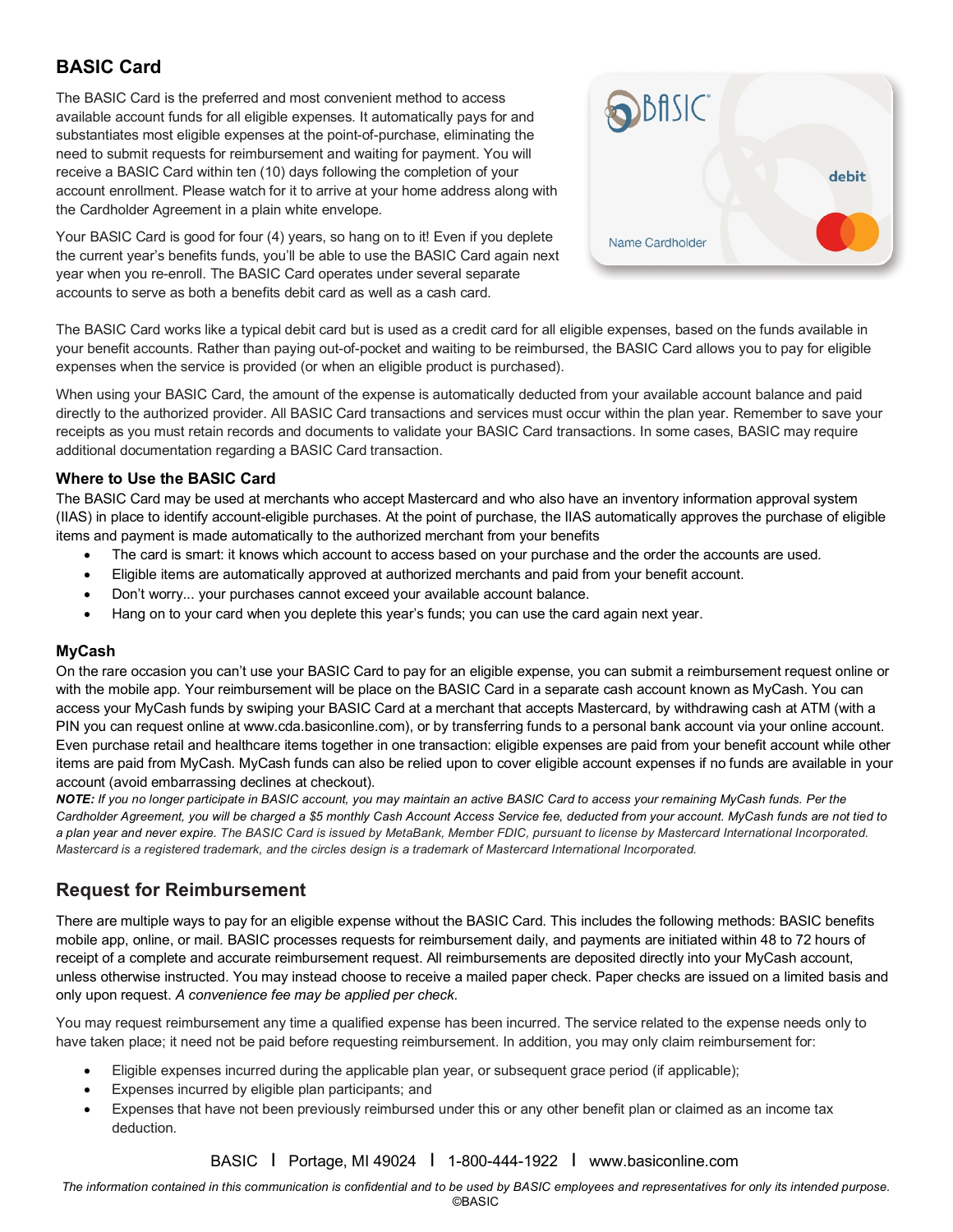# **BASIC Card**

The BASIC Card is the preferred and most convenient method to access available account funds for all eligible expenses. It automatically pays for and substantiates most eligible expenses at the point-of-purchase, eliminating the need to submit requests for reimbursement and waiting for payment. You will receive a BASIC Card within ten (10) days following the completion of your account enrollment. Please watch for it to arrive at your home address along with the Cardholder Agreement in a plain white envelope.

Your BASIC Card is good for four (4) years, so hang on to it! Even if you deplete the current year's benefits funds, you'll be able to use the BASIC Card again next year when you re-enroll. The BASIC Card operates under several separate accounts to serve as both a benefits debit card as well as a cash card.



The BASIC Card works like a typical debit card but is used as a credit card for all eligible expenses, based on the funds available in your benefit accounts. Rather than paying out-of-pocket and waiting to be reimbursed, the BASIC Card allows you to pay for eligible expenses when the service is provided (or when an eligible product is purchased).

When using your BASIC Card, the amount of the expense is automatically deducted from your available account balance and paid directly to the authorized provider. All BASIC Card transactions and services must occur within the plan year. Remember to save your receipts as you must retain records and documents to validate your BASIC Card transactions. In some cases, BASIC may require additional documentation regarding a BASIC Card transaction.

#### **Where to Use the BASIC Card**

The BASIC Card may be used at merchants who accept Mastercard and who also have an inventory information approval system (IIAS) in place to identify account-eligible purchases. At the point of purchase, the IIAS automatically approves the purchase of eligible items and payment is made automatically to the authorized merchant from your benefits

- The card is smart: it knows which account to access based on your purchase and the order the accounts are used.
- Eligible items are automatically approved at authorized merchants and paid from your benefit account.
- Don't worry... your purchases cannot exceed your available account balance.
- Hang on to your card when you deplete this year's funds; you can use the card again next year.

#### **MyCash**

On the rare occasion you can't use your BASIC Card to pay for an eligible expense, you can submit a reimbursement request online or with the mobile app. Your reimbursement will be place on the BASIC Card in a separate cash account known as MyCash. You can access your MyCash funds by swiping your BASIC Card at a merchant that accepts Mastercard, by withdrawing cash at ATM (with a PIN you can request online at www.cda.basiconline.com), or by transferring funds to a personal bank account via your online account. Even purchase retail and healthcare items together in one transaction: eligible expenses are paid from your benefit account while other items are paid from MyCash. MyCash funds can also be relied upon to cover eligible account expenses if no funds are available in your account (avoid embarrassing declines at checkout).

*NOTE: If you no longer participate in BASIC account, you may maintain an active BASIC Card to access your remaining MyCash funds. Per the Cardholder Agreement, you will be charged a \$5 monthly Cash Account Access Service fee, deducted from your account. MyCash funds are not tied to a plan year and never expire. The BASIC Card is issued by MetaBank, Member FDIC, pursuant to license by Mastercard International Incorporated. Mastercard is a registered trademark, and the circles design is a trademark of Mastercard International Incorporated.*

## **Request for Reimbursement**

There are multiple ways to pay for an eligible expense without the BASIC Card. This includes the following methods: BASIC benefits mobile app, online, or mail. BASIC processes requests for reimbursement daily, and payments are initiated within 48 to 72 hours of receipt of a complete and accurate reimbursement request. All reimbursements are deposited directly into your MyCash account, unless otherwise instructed. You may instead choose to receive a mailed paper check. Paper checks are issued on a limited basis and only upon request. *A convenience fee may be applied per check.*

You may request reimbursement any time a qualified expense has been incurred. The service related to the expense needs only to have taken place; it need not be paid before requesting reimbursement. In addition, you may only claim reimbursement for:

- Eligible expenses incurred during the applicable plan year, or subsequent grace period (if applicable);
- Expenses incurred by eligible plan participants; and
- Expenses that have not been previously reimbursed under this or any other benefit plan or claimed as an income tax deduction.

BASIC I Portage, MI 49024 I 1-800-444-1922 I www.basiconline.com

*The information contained in this communication is confidential and to be used by BASIC employees and representatives for only its intended purpose.*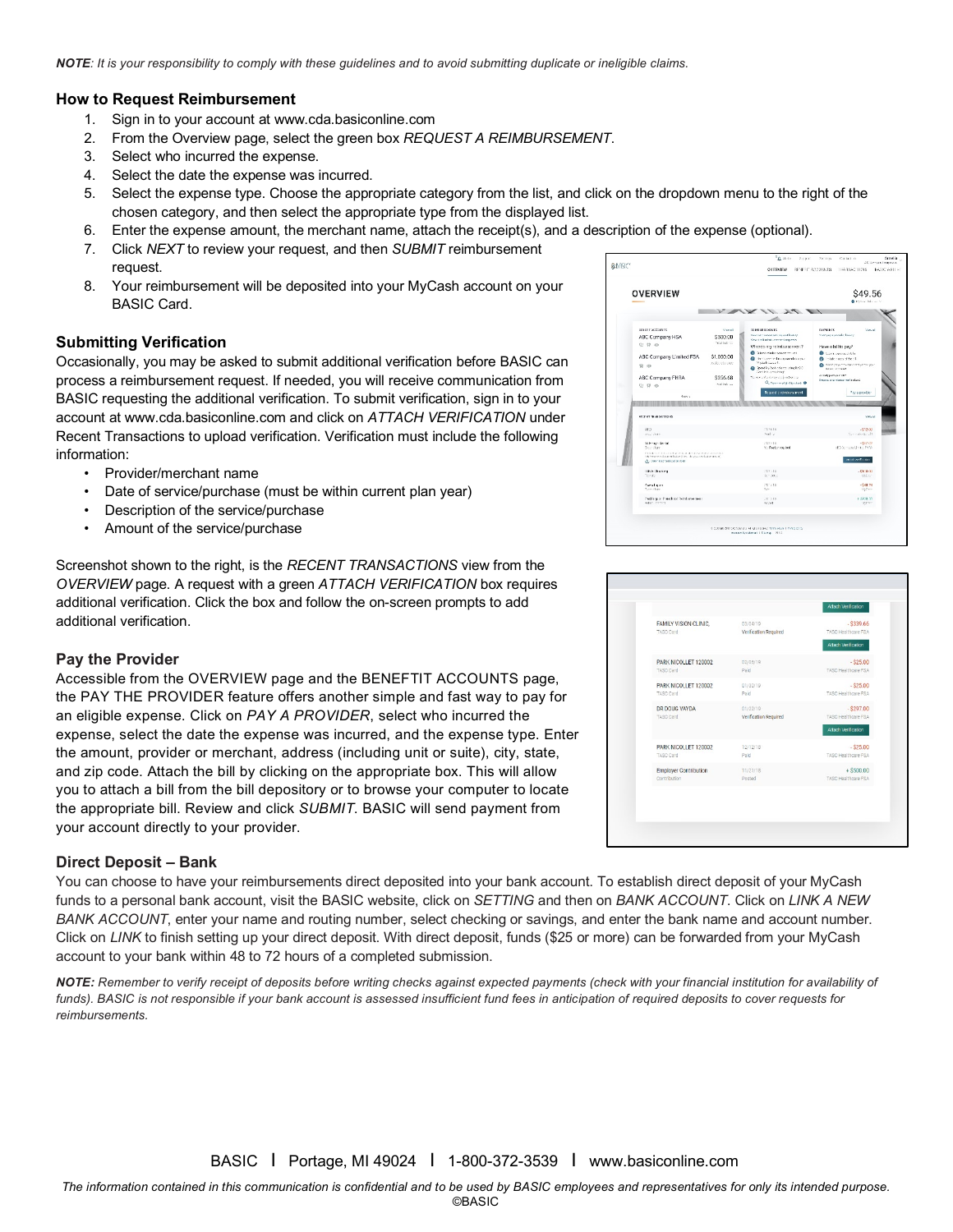*NOTE: It is your responsibility to comply with these guidelines and to avoid submitting duplicate or ineligible claims.*

#### **How to Request Reimbursement**

- 1. Sign in to your account at www.cda.basiconline.com
- 2. From the Overview page, select the green box *REQUEST A REIMBURSEMENT*.
- 3. Select who incurred the expense.
- 4. Select the date the expense was incurred.
- 5. Select the expense type. Choose the appropriate category from the list, and click on the dropdown menu to the right of the chosen category, and then select the appropriate type from the displayed list.
- 6. Enter the expense amount, the merchant name, attach the receipt(s), and a description of the expense (optional).
- 7. Click *NEXT* to review your request, and then *SUBMIT* reimbursement request.
- 8. Your reimbursement will be deposited into your MyCash account on your BASIC Card.

#### **Submitting Verification**

Occasionally, you may be asked to submit additional verification before BASIC can process a reimbursement request. If needed, you will receive communication from BASIC requesting the additional verification. To submit verification, sign in to your account at www.cda.basiconline.com and click on *ATTACH VERIFICATION* under Recent Transactions to upload verification. Verification must include the following information:

- Provider/merchant name
- Date of service/purchase (must be within current plan year)
- Description of the service/purchase
- Amount of the service/purchase

Screenshot shown to the right, is the *RECENT TRANSACTIONS* view from the *OVERVIEW* page. A request with a green *ATTACH VERIFICATION* box requires additional verification. Click the box and follow the on-screen prompts to add additional verification.

#### **Pay the Provider**

Accessible from the OVERVIEW page and the BENEFTIT ACCOUNTS page, the PAY THE PROVIDER feature offers another simple and fast way to pay for an eligible expense. Click on *PAY A PROVIDER*, select who incurred the expense, select the date the expense was incurred, and the expense type. Enter the amount, provider or merchant, address (including unit or suite), city, state, and zip code. Attach the bill by clicking on the appropriate box. This will allow you to attach a bill from the bill depository or to browse your computer to locate the appropriate bill. Review and click *SUBMIT*. BASIC will send payment from your account directly to your provider.

#### **Direct Deposit – Bank**

You can choose to have your reimbursements direct deposited into your bank account. To establish direct deposit of your MyCash funds to a personal bank account, visit the BASIC website, click on *SETTING* and then on *BANK ACCOUNT*. Click on *LINK A NEW BANK ACCOUNT*, enter your name and routing number, select checking or savings, and enter the bank name and account number. Click on *LINK* to finish setting up your direct deposit. With direct deposit, funds (\$25 or more) can be forwarded from your MyCash account to your bank within 48 to 72 hours of a completed submission.

*NOTE: Remember to verify receipt of deposits before writing checks against expected payments (check with your financial institution for availability of funds). BASIC is not responsible if your bank account is assessed insufficient fund fees in anticipation of required deposits to cover requests for reimbursements.*



| FAMILY VISION CLINIC.<br>TASC Card           | 03/04/19<br>Verification Required | $-$ \$339.66<br>TASC Healthcare FSA |
|----------------------------------------------|-----------------------------------|-------------------------------------|
|                                              |                                   | Attach Verification                 |
| PARK NICOLLET 120002<br>TASC Card            | 02/05/19<br>Paid                  | $-$ \$25.00<br>TASC Healthcare FSA  |
| PARK NICOLLET 120002<br>TASC Card            | 01/30/19<br>Paid                  | $ $25.00$<br>TASC Healthcare FSA    |
| DR DOUG VAYDA<br>TASC Card                   | 01/22/19<br>Verification Required | $-$ S297.00<br>TASC Healthcare FSA  |
|                                              |                                   | Attach Verification                 |
| PARK NICOLLET 120002<br>TASC Card            | 12/12/18<br>Paid                  | $-$ \$25.00<br>TASC Healthcare FSA  |
| <b>Employer Contribution</b><br>Contribution | 11/21/18<br>Posted                | $+$ \$500.00<br>TASC Healthcare ESA |
|                                              |                                   |                                     |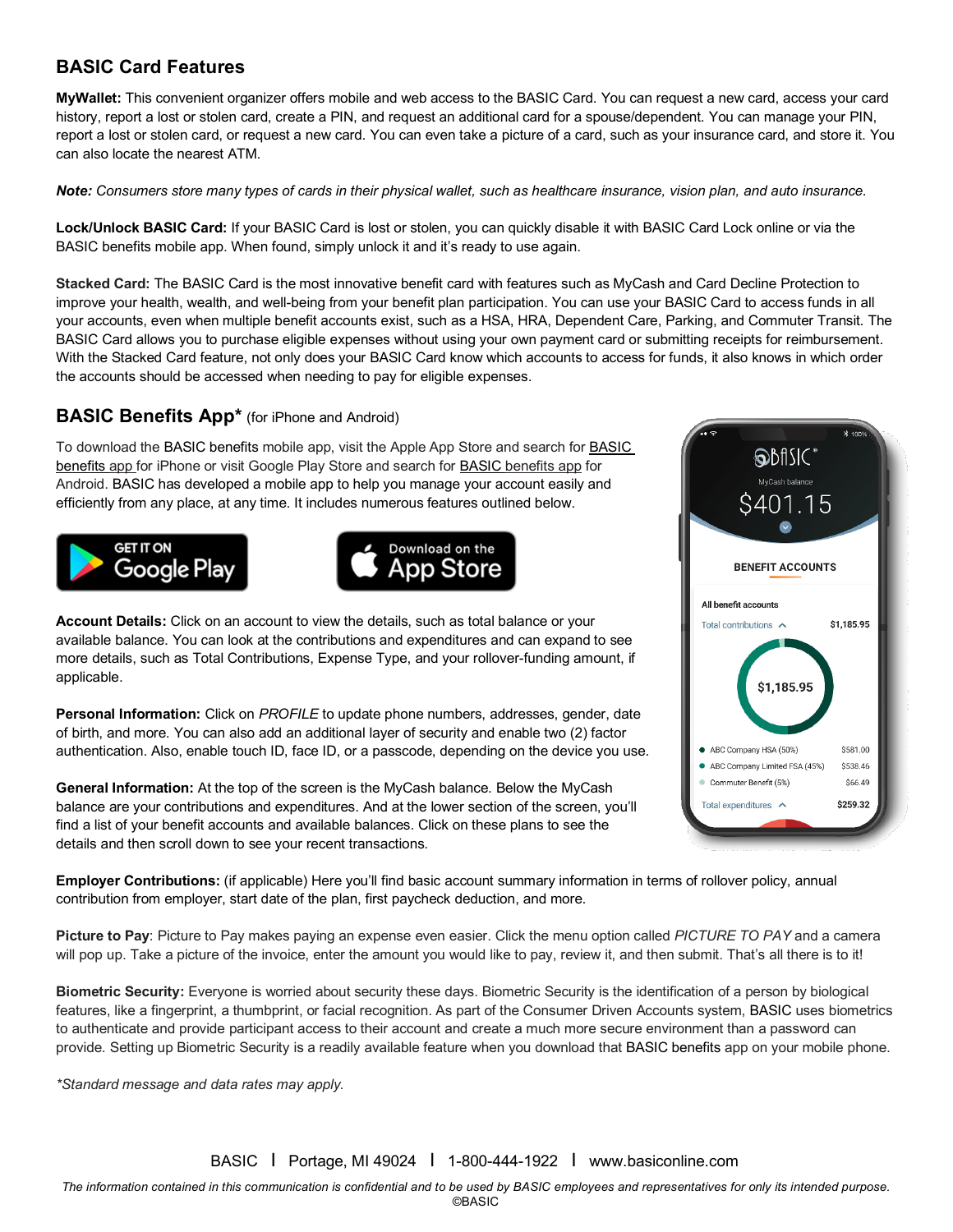# **BASIC Card Features**

**MyWallet:** This convenient organizer offers mobile and web access to the BASIC Card. You can request a new card, access your card history, report a lost or stolen card, create a PIN, and request an additional card for a spouse/dependent. You can manage your PIN, report a lost or stolen card, or request a new card. You can even take a picture of a card, such as your insurance card, and store it. You can also locate the nearest ATM.

*Note: Consumers store many types of cards in their physical wallet, such as healthcare insurance, vision plan, and auto insurance.*

**Lock/Unlock BASIC Card:** If your BASIC Card is lost or stolen, you can quickly disable it with BASIC Card Lock online or via the BASIC benefits mobile app. When found, simply unlock it and it's ready to use again.

**Stacked Card:** The BASIC Card is the most innovative benefit card with features such as MyCash and Card Decline Protection to improve your health, wealth, and well-being from your benefit plan participation. You can use your BASIC Card to access funds in all your accounts, even when multiple benefit accounts exist, such as a HSA, HRA, Dependent Care, Parking, and Commuter Transit. The BASIC Card allows you to purchase eligible expenses without using your own payment card or submitting receipts for reimbursement. With the Stacked Card feature, not only does your BASIC Card know which accounts to access for funds, it also knows in which order the accounts should be accessed when needing to pay for eligible expenses.

### **BASIC Benefits App\*** (for iPhone and Android)

To download the BASIC benefits mobile app, visit the Apple App Store and search for BASIC benefits app for iPhone or visit Google Play Store and search for BASIC benefits app for Android. BASIC has developed a mobile app to help you manage your account easily and efficiently from any place, at any time. It includes numerous features outlined below.





**Account Details:** Click on an account to view the details, such as total balance or your available balance. You can look at the contributions and expenditures and can expand to see more details, such as Total Contributions, Expense Type, and your rollover-funding amount, if applicable.

**Personal Information:** Click on *PROFILE* to update phone numbers, addresses, gender, date of birth, and more. You can also add an additional layer of security and enable two (2) factor authentication. Also, enable touch ID, face ID, or a passcode, depending on the device you use.

**General Information:** At the top of the screen is the MyCash balance. Below the MyCash balance are your contributions and expenditures. And at the lower section of the screen, you'll find a list of your benefit accounts and available balances. Click on these plans to see the details and then scroll down to see your recent transactions.



**Employer Contributions:** (if applicable) Here you'll find basic account summary information in terms of rollover policy, annual contribution from employer, start date of the plan, first paycheck deduction, and more.

**Picture to Pay**: Picture to Pay makes paying an expense even easier. Click the menu option called *PICTURE TO PAY* and a camera will pop up. Take a picture of the invoice, enter the amount you would like to pay, review it, and then submit. That's all there is to it!

**Biometric Security:** Everyone is worried about security these days. Biometric Security is the identification of a person by biological features, like a fingerprint, a thumbprint, or facial recognition. As part of the Consumer Driven Accounts system, BASIC uses biometrics to authenticate and provide participant access to their account and create a much more secure environment than a password can provide. Setting up Biometric Security is a readily available feature when you download that BASIC benefits app on your mobile phone.

*\*Standard message and data rates may apply.*

BASIC I Portage, MI 49024 I 1-800-444-1922 I www.basiconline.com

*The information contained in this communication is confidential and to be used by BASIC employees and representatives for only its intended purpose.*